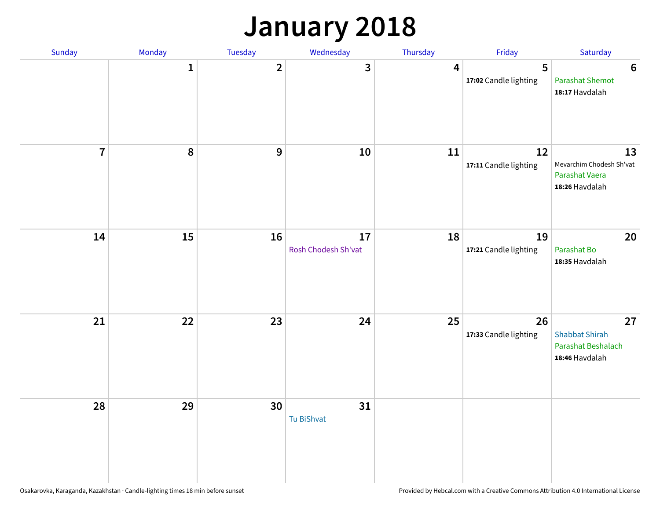## **January 2018**

| Sunday         | Monday | Tuesday        | Wednesday                 | Thursday       | Friday                      | Saturday                                                            |
|----------------|--------|----------------|---------------------------|----------------|-----------------------------|---------------------------------------------------------------------|
|                | 1      | $\overline{2}$ | 3                         | $\overline{4}$ | 5<br>17:02 Candle lighting  | $6\phantom{1}6$<br><b>Parashat Shemot</b><br>18:17 Havdalah         |
| $\overline{7}$ | 8      | $\mathbf{9}$   | 10                        | 11             | 12<br>17:11 Candle lighting | 13<br>Mevarchim Chodesh Sh'vat<br>Parashat Vaera<br>18:26 Havdalah  |
| 14             | 15     | 16             | 17<br>Rosh Chodesh Sh'vat | 18             | 19<br>17:21 Candle lighting | 20<br>Parashat Bo<br>18:35 Havdalah                                 |
| 21             | 22     | 23             | 24                        | 25             | 26<br>17:33 Candle lighting | 27<br><b>Shabbat Shirah</b><br>Parashat Beshalach<br>18:46 Havdalah |
| 28             | 29     | 30             | 31<br>Tu BiShvat          |                |                             |                                                                     |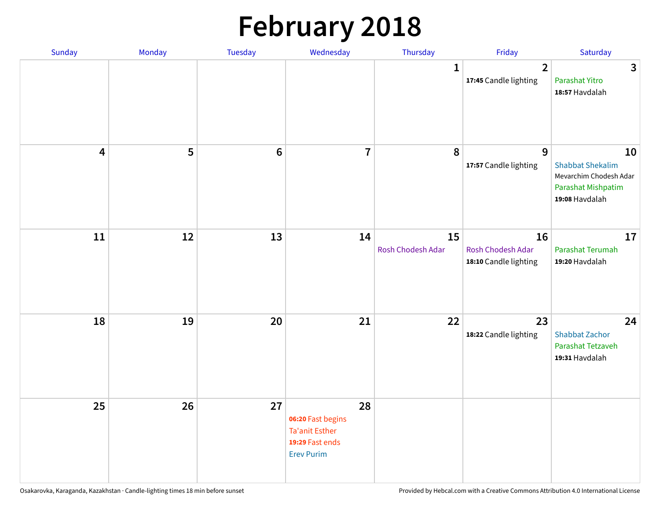# **February 2018**

| Sunday                  | Monday | Tuesday          | Wednesday                                                                                | Thursday                | Friday                                           | Saturday                                                                                        |
|-------------------------|--------|------------------|------------------------------------------------------------------------------------------|-------------------------|--------------------------------------------------|-------------------------------------------------------------------------------------------------|
|                         |        |                  |                                                                                          | $\mathbf{1}$            | $\overline{\mathbf{2}}$<br>17:45 Candle lighting | $\mathbf{3}$<br>Parashat Yitro<br>18:57 Havdalah                                                |
| $\overline{\mathbf{4}}$ | 5      | $\boldsymbol{6}$ | $\overline{\mathbf{7}}$                                                                  | 8                       | 9<br>17:57 Candle lighting                       | 10<br><b>Shabbat Shekalim</b><br>Mevarchim Chodesh Adar<br>Parashat Mishpatim<br>19:08 Havdalah |
| 11                      | 12     | 13               | 14                                                                                       | 15<br>Rosh Chodesh Adar | 16<br>Rosh Chodesh Adar<br>18:10 Candle lighting | 17<br>Parashat Terumah<br>19:20 Havdalah                                                        |
| 18                      | 19     | 20               | 21                                                                                       | 22                      | 23<br>18:22 Candle lighting                      | 24<br><b>Shabbat Zachor</b><br>Parashat Tetzaveh<br>19:31 Havdalah                              |
| 25                      | 26     | 27               | 28<br>06:20 Fast begins<br><b>Ta'anit Esther</b><br>19:29 Fast ends<br><b>Erev Purim</b> |                         |                                                  |                                                                                                 |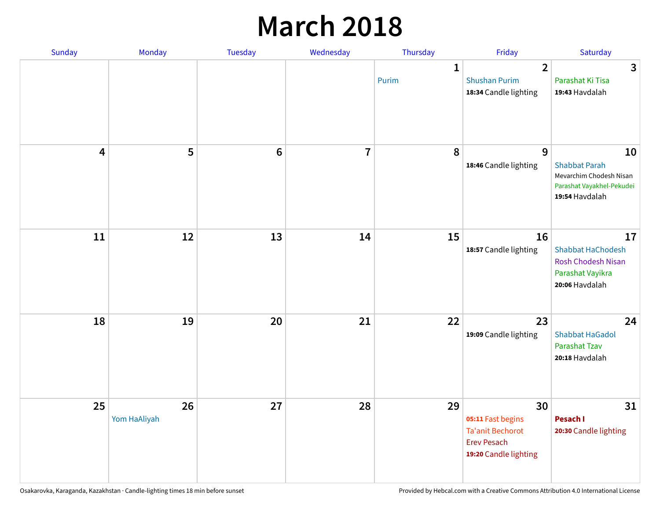## **March 2018**

| Sunday | Monday                       | <b>Tuesday</b> | Wednesday      | Thursday              | Friday                                                                                            | Saturday                                                                                             |
|--------|------------------------------|----------------|----------------|-----------------------|---------------------------------------------------------------------------------------------------|------------------------------------------------------------------------------------------------------|
|        |                              |                |                | $\mathbf{1}$<br>Purim | $\overline{2}$<br><b>Shushan Purim</b><br>18:34 Candle lighting                                   | $\mathbf{3}$<br>Parashat Ki Tisa<br>19:43 Havdalah                                                   |
|        | 5<br>$\overline{\mathbf{4}}$ | $\bf 6$        | $\overline{7}$ | 8                     | 9<br>18:46 Candle lighting                                                                        | 10<br><b>Shabbat Parah</b><br>Mevarchim Chodesh Nisan<br>Parashat Vayakhel-Pekudei<br>19:54 Havdalah |
|        | 11<br>12                     | 13             | 14             | 15                    | 16<br>18:57 Candle lighting                                                                       | 17<br><b>Shabbat HaChodesh</b><br><b>Rosh Chodesh Nisan</b><br>Parashat Vayikra<br>20:06 Havdalah    |
|        | 18<br>19                     | 20             | 21             | 22                    | 23<br>19:09 Candle lighting                                                                       | 24<br><b>Shabbat HaGadol</b><br>Parashat Tzav<br>20:18 Havdalah                                      |
|        | 25<br>26<br>Yom HaAliyah     | 27             | 28             | 29                    | 30<br>05:11 Fast begins<br><b>Ta'anit Bechorot</b><br><b>Erev Pesach</b><br>19:20 Candle lighting | 31<br>Pesach I<br>20:30 Candle lighting                                                              |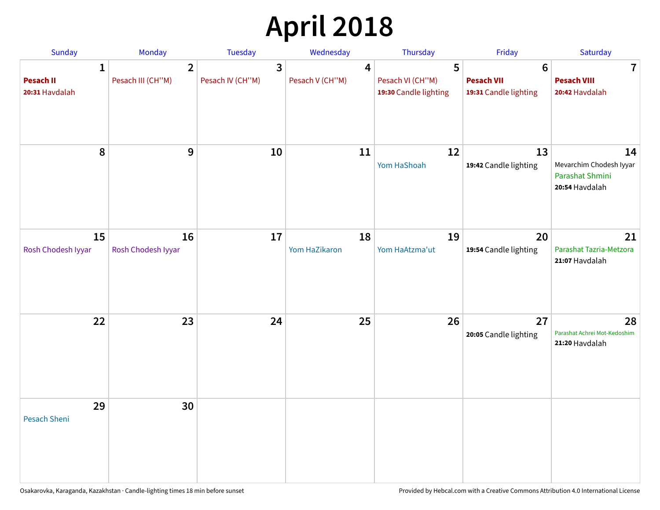# **April 2018**

| Sunday                                             | Monday                              | Tuesday                                     | Wednesday            | Thursday                                       | Friday                                                        | Saturday                                                           |
|----------------------------------------------------|-------------------------------------|---------------------------------------------|----------------------|------------------------------------------------|---------------------------------------------------------------|--------------------------------------------------------------------|
| $\mathbf{1}$<br><b>Pesach II</b><br>20:31 Havdalah | $\overline{2}$<br>Pesach III (CH"M) | $\overline{\mathbf{3}}$<br>Pesach IV (CH"M) | 4<br>Pesach V (CH"M) | 5<br>Pesach VI (CH"M)<br>19:30 Candle lighting | $6\phantom{1}6$<br><b>Pesach VII</b><br>19:31 Candle lighting | $\mathbf 7$<br><b>Pesach VIII</b><br>20:42 Havdalah                |
| 8                                                  | 9                                   | 10                                          | 11                   | 12<br>Yom HaShoah                              | 13<br>19:42 Candle lighting                                   | 14<br>Mevarchim Chodesh Iyyar<br>Parashat Shmini<br>20:54 Havdalah |
| 15<br>Rosh Chodesh Iyyar                           | 16<br>Rosh Chodesh Iyyar            | 17                                          | 18<br>Yom HaZikaron  | 19<br>Yom HaAtzma'ut                           | 20<br>19:54 Candle lighting                                   | 21<br>Parashat Tazria-Metzora<br>21:07 Havdalah                    |
| 22                                                 | 23                                  | 24                                          | 25                   | 26                                             | 27<br>20:05 Candle lighting                                   | 28<br>Parashat Achrei Mot-Kedoshim<br>21:20 Havdalah               |
| 29<br>Pesach Sheni                                 | 30                                  |                                             |                      |                                                |                                                               |                                                                    |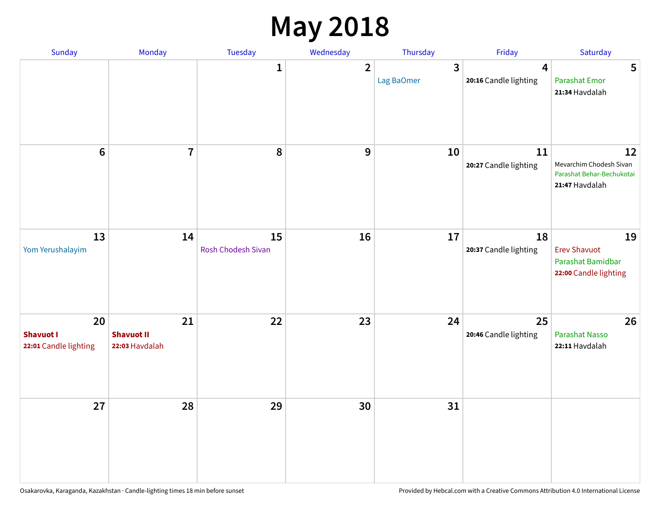## **May 2018**

| Sunday                                          | Monday                                    | Tuesday                  | Wednesday      | Thursday        | Friday                      | Saturday                                                                     |
|-------------------------------------------------|-------------------------------------------|--------------------------|----------------|-----------------|-----------------------------|------------------------------------------------------------------------------|
|                                                 |                                           | $\mathbf{1}$             | $\overline{2}$ | 3<br>Lag BaOmer | 4<br>20:16 Candle lighting  | 5<br><b>Parashat Emor</b><br>21:34 Havdalah                                  |
| $6\phantom{1}$                                  | $\overline{7}$                            | $\pmb{8}$                | 9              | 10              | 11<br>20:27 Candle lighting | 12<br>Mevarchim Chodesh Sivan<br>Parashat Behar-Bechukotai<br>21:47 Havdalah |
| 13<br>Yom Yerushalayim                          | 14                                        | 15<br>Rosh Chodesh Sivan | 16             | 17              | 18<br>20:37 Candle lighting | 19<br><b>Erev Shavuot</b><br>Parashat Bamidbar<br>22:00 Candle lighting      |
| 20<br><b>Shavuot I</b><br>22:01 Candle lighting | 21<br><b>Shavuot II</b><br>22:03 Havdalah | 22                       | 23             | 24              | 25<br>20:46 Candle lighting | 26<br><b>Parashat Nasso</b><br>22:11 Havdalah                                |
| 27                                              | 28                                        | 29                       | 30             | 31              |                             |                                                                              |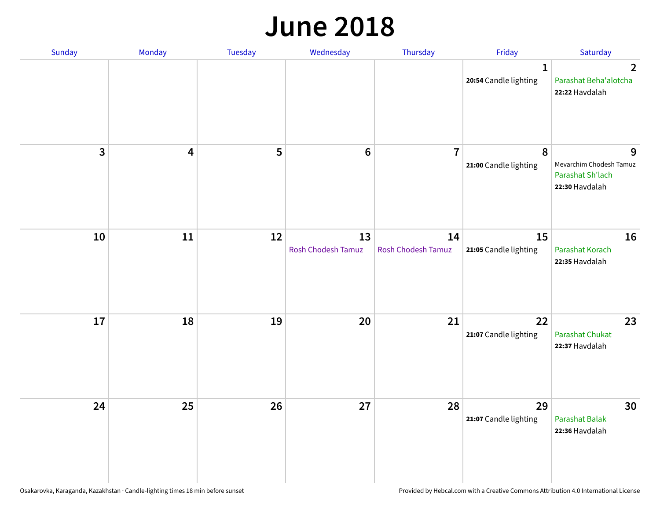#### **June 2018**

| Sunday                  | Monday                  | Tuesday | Wednesday                       | Thursday                        | Friday                                | Saturday                                                           |
|-------------------------|-------------------------|---------|---------------------------------|---------------------------------|---------------------------------------|--------------------------------------------------------------------|
|                         |                         |         |                                 |                                 | $\mathbf{1}$<br>20:54 Candle lighting | $\overline{2}$<br>Parashat Beha'alotcha<br>22:22 Havdalah          |
| $\overline{\mathbf{3}}$ | $\overline{\mathbf{4}}$ | 5       | $\bf 6$                         | $\overline{7}$                  | 8<br>21:00 Candle lighting            | 9<br>Mevarchim Chodesh Tamuz<br>Parashat Sh'lach<br>22:30 Havdalah |
| 10                      | 11                      | 12      | 13<br><b>Rosh Chodesh Tamuz</b> | 14<br><b>Rosh Chodesh Tamuz</b> | 15<br>21:05 Candle lighting           | 16<br>Parashat Korach<br>22:35 Havdalah                            |
| 17                      | 18                      | 19      | 20                              | 21                              | 22<br>21:07 Candle lighting           | 23<br><b>Parashat Chukat</b><br>22:37 Havdalah                     |
| 24                      | 25                      | 26      | 27                              | 28                              | 29<br>21:07 Candle lighting           | 30<br>Parashat Balak<br>22:36 Havdalah                             |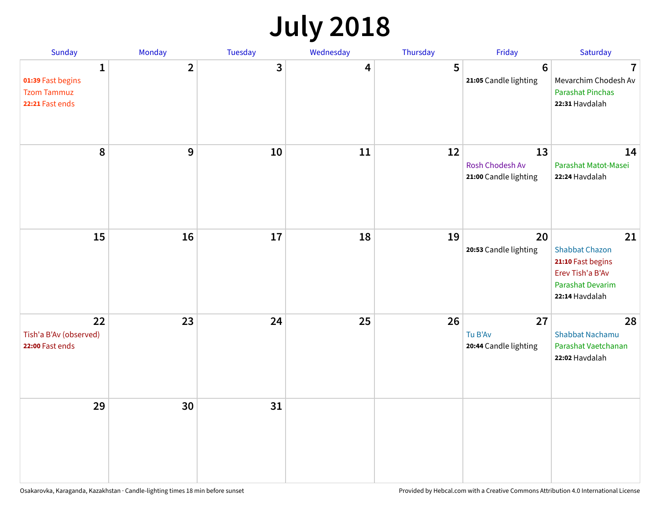## **July 2018**

| Sunday                                                          | Monday         | Tuesday      | Wednesday | Thursday | Friday                                         | Saturday                                                                                                          |
|-----------------------------------------------------------------|----------------|--------------|-----------|----------|------------------------------------------------|-------------------------------------------------------------------------------------------------------------------|
| 1<br>01:39 Fast begins<br><b>Tzom Tammuz</b><br>22:21 Fast ends | $\overline{2}$ | $\mathbf{3}$ | 4         | 5        | $6\phantom{1}6$<br>21:05 Candle lighting       | $\overline{7}$<br>Mevarchim Chodesh Av<br><b>Parashat Pinchas</b><br>22:31 Havdalah                               |
| 8                                                               | 9              | 10           | 11        | 12       | 13<br>Rosh Chodesh Av<br>21:00 Candle lighting | 14<br>Parashat Matot-Masei<br>22:24 Havdalah                                                                      |
| 15                                                              | 16             | 17           | 18        | 19       | 20<br>20:53 Candle lighting                    | 21<br><b>Shabbat Chazon</b><br>21:10 Fast begins<br>Erev Tish'a B'Av<br><b>Parashat Devarim</b><br>22:14 Havdalah |
| 22<br>Tish'a B'Av (observed)<br>22:00 Fast ends                 | 23             | 24           | 25        | 26       | 27<br>Tu B'Av<br>20:44 Candle lighting         | 28<br><b>Shabbat Nachamu</b><br>Parashat Vaetchanan<br>22:02 Havdalah                                             |
| 29                                                              | 30             | 31           |           |          |                                                |                                                                                                                   |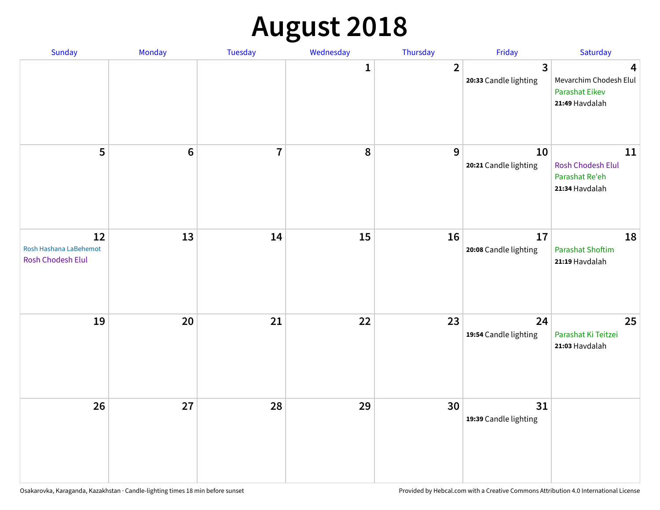# **August 2018**

| Sunday                                                   | Monday          | Tuesday        | Wednesday    | Thursday       | Friday                      | Saturday                                                        |
|----------------------------------------------------------|-----------------|----------------|--------------|----------------|-----------------------------|-----------------------------------------------------------------|
|                                                          |                 |                | $\mathbf{1}$ | $\overline{2}$ | 3<br>20:33 Candle lighting  | 4<br>Mevarchim Chodesh Elul<br>Parashat Eikev<br>21:49 Havdalah |
| 5                                                        | $6\phantom{1}6$ | $\overline{7}$ | ${\bf 8}$    | 9              | 10<br>20:21 Candle lighting | 11<br>Rosh Chodesh Elul<br>Parashat Re'eh<br>21:34 Havdalah     |
| 12<br>Rosh Hashana LaBehemot<br><b>Rosh Chodesh Elul</b> | 13              | 14             | 15           | 16             | 17<br>20:08 Candle lighting | 18<br><b>Parashat Shoftim</b><br>21:19 Havdalah                 |
| 19                                                       | 20              | 21             | 22           | 23             | 24<br>19:54 Candle lighting | 25<br>Parashat Ki Teitzei<br>21:03 Havdalah                     |
| 26                                                       | 27              | 28             | 29           | 30             | 31<br>19:39 Candle lighting |                                                                 |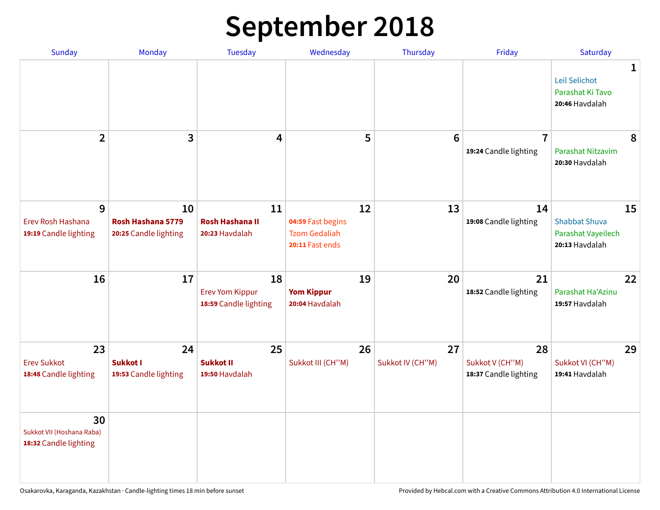## **September 2018**

| <b>Sunday</b>                                            | Monday                                           | <b>Tuesday</b>                                        | Wednesday                                                          | Thursday               | Friday                                         | Saturday                                                           |   |
|----------------------------------------------------------|--------------------------------------------------|-------------------------------------------------------|--------------------------------------------------------------------|------------------------|------------------------------------------------|--------------------------------------------------------------------|---|
|                                                          |                                                  |                                                       |                                                                    |                        |                                                | Leil Selichot<br>Parashat Ki Tavo<br>20:46 Havdalah                | 1 |
| $\overline{2}$                                           | 3                                                | 4                                                     | 5                                                                  | $6\phantom{1}6$        | $\overline{7}$<br>19:24 Candle lighting        | Parashat Nitzavim<br>20:30 Havdalah                                | 8 |
| 9<br>Erev Rosh Hashana<br>19:19 Candle lighting          | 10<br>Rosh Hashana 5779<br>20:25 Candle lighting | 11<br><b>Rosh Hashana II</b><br>20:23 Havdalah        | 12<br>04:59 Fast begins<br><b>Tzom Gedaliah</b><br>20:11 Fast ends | 13                     | 14<br>19:08 Candle lighting                    | 15<br><b>Shabbat Shuva</b><br>Parashat Vayeilech<br>20:13 Havdalah |   |
| 16                                                       | 17                                               | 18<br><b>Erev Yom Kippur</b><br>18:59 Candle lighting | 19<br><b>Yom Kippur</b><br>20:04 Havdalah                          | 20                     | 21<br>18:52 Candle lighting                    | 22<br>Parashat Ha'Azinu<br>19:57 Havdalah                          |   |
| 23<br><b>Erev Sukkot</b><br>18:48 Candle lighting        | 24<br><b>Sukkot I</b><br>19:53 Candle lighting   | 25<br><b>Sukkot II</b><br>19:50 Havdalah              | 26<br>Sukkot III (CH"M)                                            | 27<br>Sukkot IV (CH"M) | 28<br>Sukkot V (CH"M)<br>18:37 Candle lighting | 29<br>Sukkot VI (CH"M)<br>19:41 Havdalah                           |   |
| 30<br>Sukkot VII (Hoshana Raba)<br>18:32 Candle lighting |                                                  |                                                       |                                                                    |                        |                                                |                                                                    |   |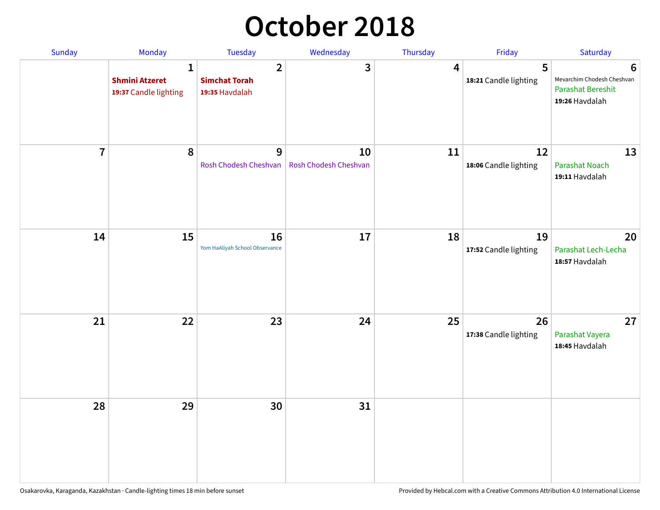## **October 2018**

| Sunday         | Monday                                                         | Tuesday                                                  | Wednesday                   | Thursday | Friday                      | Saturday                                                                      |
|----------------|----------------------------------------------------------------|----------------------------------------------------------|-----------------------------|----------|-----------------------------|-------------------------------------------------------------------------------|
|                | $\mathbf{1}$<br><b>Shmini Atzeret</b><br>19:37 Candle lighting | $\overline{2}$<br><b>Simchat Torah</b><br>19:35 Havdalah | 3                           | 4        | 5<br>18:21 Candle lighting  | 6<br>Mevarchim Chodesh Cheshvan<br><b>Parashat Bereshit</b><br>19:26 Havdalah |
| $\overline{7}$ | 8                                                              | 9<br>Rosh Chodesh Cheshvan                               | 10<br>Rosh Chodesh Cheshvan | 11       | 12<br>18:06 Candle lighting | 13<br><b>Parashat Noach</b><br>19:11 Havdalah                                 |
| 14             | 15                                                             | 16<br>Yom HaAliyah School Observance                     | 17                          | 18       | 19<br>17:52 Candle lighting | 20<br>Parashat Lech-Lecha<br>18:57 Havdalah                                   |
| 21             | 22                                                             | 23                                                       | 24                          | 25       | 26<br>17:38 Candle lighting | 27<br>Parashat Vayera<br>18:45 Havdalah                                       |
| 28             | 29                                                             | 30                                                       | 31                          |          |                             |                                                                               |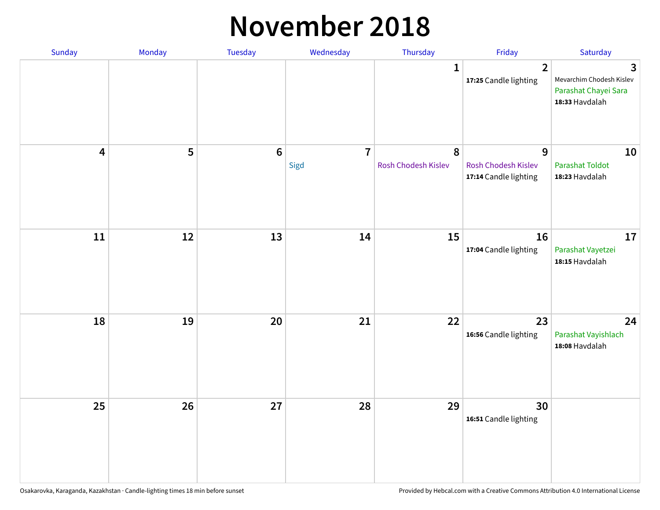#### **November 2018**

| Sunday                  | Monday | Tuesday        | Wednesday              | Thursday                 | Friday                                                   | Saturday                                                                |
|-------------------------|--------|----------------|------------------------|--------------------------|----------------------------------------------------------|-------------------------------------------------------------------------|
|                         |        |                |                        | $\mathbf{1}$             | $\overline{2}$<br>17:25 Candle lighting                  | 3<br>Mevarchim Chodesh Kislev<br>Parashat Chayei Sara<br>18:33 Havdalah |
| $\overline{\mathbf{4}}$ | 5      | $6\phantom{a}$ | $\overline{7}$<br>Sigd | 8<br>Rosh Chodesh Kislev | 9<br><b>Rosh Chodesh Kislev</b><br>17:14 Candle lighting | 10<br><b>Parashat Toldot</b><br>18:23 Havdalah                          |
| ${\bf 11}$              | 12     | 13             | 14                     | 15                       | 16<br>17:04 Candle lighting                              | 17<br>Parashat Vayetzei<br>18:15 Havdalah                               |
| 18                      | 19     | 20             | 21                     | 22                       | 23<br>16:56 Candle lighting                              | 24<br>Parashat Vayishlach<br>18:08 Havdalah                             |
| 25                      | 26     | 27             | 28                     | 29                       | 30<br>16:51 Candle lighting                              |                                                                         |